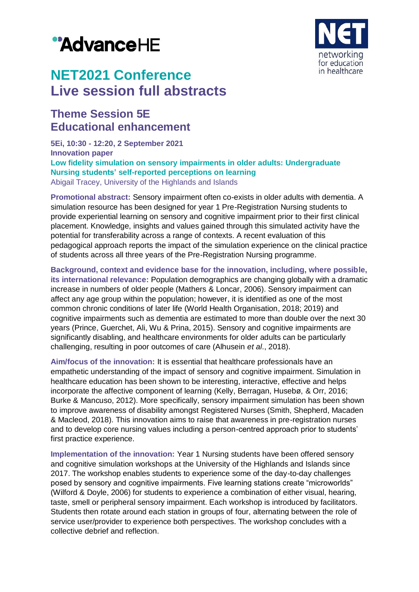# "AdvanceHE



## **NET2021 Conference Live session full abstracts**

### **Theme Session 5E Educational enhancement**

**5Ei, 10:30 - 12:20, 2 September 2021 Innovation paper Low fidelity simulation on sensory impairments in older adults: Undergraduate Nursing students' self-reported perceptions on learning** Abigail Tracey, University of the Highlands and Islands

**Promotional abstract:** Sensory impairment often co-exists in older adults with dementia. A simulation resource has been designed for year 1 Pre-Registration Nursing students to provide experiential learning on sensory and cognitive impairment prior to their first clinical placement. Knowledge, insights and values gained through this simulated activity have the potential for transferability across a range of contexts. A recent evaluation of this pedagogical approach reports the impact of the simulation experience on the clinical practice of students across all three years of the Pre-Registration Nursing programme.

**Background, context and evidence base for the innovation, including, where possible, its international relevance:** Population demographics are changing globally with a dramatic increase in numbers of older people (Mathers & Loncar, 2006). Sensory impairment can affect any age group within the population; however, it is identified as one of the most common chronic conditions of later life (World Health Organisation, 2018; 2019) and cognitive impairments such as dementia are estimated to more than double over the next 30 years (Prince, Guerchet, Ali, Wu & Prina, 2015). Sensory and cognitive impairments are significantly disabling, and healthcare environments for older adults can be particularly challenging, resulting in poor outcomes of care (Alhusein *et al*., 2018).

**Aim/focus of the innovation:** It is essential that healthcare professionals have an empathetic understanding of the impact of sensory and cognitive impairment. Simulation in healthcare education has been shown to be interesting, interactive, effective and helps incorporate the affective component of learning (Kelly, Berragan, Husebø, & Orr, 2016; Burke & Mancuso, 2012). More specifically, sensory impairment simulation has been shown to improve awareness of disability amongst Registered Nurses (Smith, Shepherd, Macaden & Macleod, 2018). This innovation aims to raise that awareness in pre-registration nurses and to develop core nursing values including a person-centred approach prior to students' first practice experience.

**Implementation of the innovation:** Year 1 Nursing students have been offered sensory and cognitive simulation workshops at the University of the Highlands and Islands since 2017. The workshop enables students to experience some of the day-to-day challenges posed by sensory and cognitive impairments. Five learning stations create "microworlds" (Wilford & Doyle, 2006) for students to experience a combination of either visual, hearing, taste, smell or peripheral sensory impairment. Each workshop is introduced by facilitators. Students then rotate around each station in groups of four, alternating between the role of service user/provider to experience both perspectives. The workshop concludes with a collective debrief and reflection.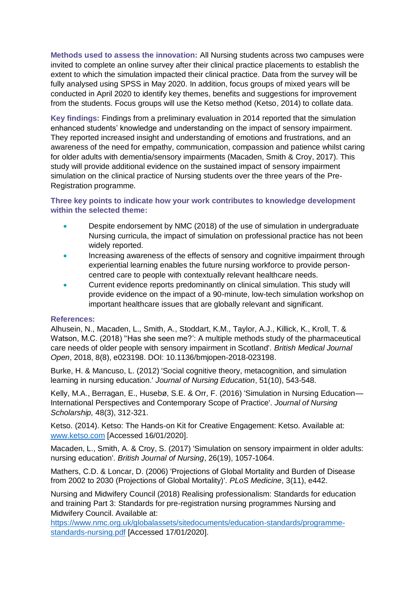**Methods used to assess the innovation:** All Nursing students across two campuses were invited to complete an online survey after their clinical practice placements to establish the extent to which the simulation impacted their clinical practice. Data from the survey will be fully analysed using SPSS in May 2020. In addition, focus groups of mixed years will be conducted in April 2020 to identify key themes, benefits and suggestions for improvement from the students. Focus groups will use the Ketso method (Ketso, 2014) to collate data.

**Key findings:** Findings from a preliminary evaluation in 2014 reported that the simulation enhanced students' knowledge and understanding on the impact of sensory impairment. They reported increased insight and understanding of emotions and frustrations, and an awareness of the need for empathy, communication, compassion and patience whilst caring for older adults with dementia/sensory impairments (Macaden, Smith & Croy, 2017). This study will provide additional evidence on the sustained impact of sensory impairment simulation on the clinical practice of Nursing students over the three years of the Pre-Registration programme.

#### **Three key points to indicate how your work contributes to knowledge development within the selected theme:**

- **Despite endorsement by NMC (2018) of the use of simulation in undergraduate** Nursing curricula, the impact of simulation on professional practice has not been widely reported.
- Increasing awareness of the effects of sensory and cognitive impairment through experiential learning enables the future nursing workforce to provide personcentred care to people with contextually relevant healthcare needs.
- Current evidence reports predominantly on clinical simulation. This study will provide evidence on the impact of a 90-minute, low-tech simulation workshop on important healthcare issues that are globally relevant and significant.

#### **References:**

Alhusein, N., Macaden, L., Smith, A., Stoddart, K.M., Taylor, A.J., Killick, K., Kroll, T. & Watson, M.C. (2018) "Has she seen me?": A multiple methods study of the pharmaceutical care needs of older people with sensory impairment in Scotland'. *British Medical Journal Open*, 2018, 8(8), e023198. DOI: 10.1136/bmjopen-2018-023198.

Burke, H. & Mancuso, L. (2012) 'Social cognitive theory, metacognition, and simulation learning in nursing education.' *Journal of Nursing Education*, 51(10), 543-548.

Kelly, M.A., Berragan, E., Husebø, S.E. & Orr, F. (2016) 'Simulation in Nursing Education— International Perspectives and Contemporary Scope of Practice'. *Journal of Nursing Scholarship,* 48(3), 312-321.

Ketso. (2014). Ketso: The Hands-on Kit for Creative Engagement: Ketso. Available at: [www.ketso.com](http://www.ketso.com/) [Accessed 16/01/2020].

Macaden, L., Smith, A. & Croy, S. (2017) 'Simulation on sensory impairment in older adults: nursing education'. *British Journal of Nursing*, 26(19), 1057-1064.

Mathers, C.D. & Loncar, D. (2006) 'Projections of Global Mortality and Burden of Disease from 2002 to 2030 (Projections of Global Mortality)'. *PLoS Medicine*, 3(11), e442.

Nursing and Midwifery Council (2018) Realising professionalism: Standards for education and training Part 3: Standards for pre-registration nursing programmes Nursing and Midwifery Council. Available at:

[https://www.nmc.org.uk/globalassets/sitedocuments/education-standards/programme](https://www.nmc.org.uk/globalassets/sitedocuments/education-standards/programme-standards-nursing.pdf)[standards-nursing.pdf](https://www.nmc.org.uk/globalassets/sitedocuments/education-standards/programme-standards-nursing.pdf) [Accessed 17/01/2020].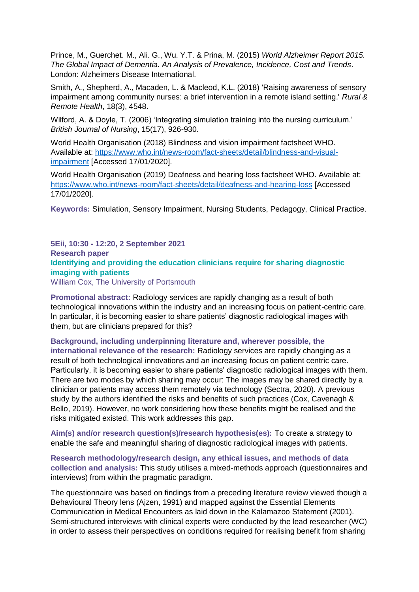Prince, M., Guerchet. M., Ali. G., Wu. Y.T. & Prina, M. (2015) *World Alzheimer Report 2015. The Global Impact of Dementia. An Analysis of Prevalence, Incidence, Cost and Trends*. London: Alzheimers Disease International.

Smith, A., Shepherd, A., Macaden, L. & Macleod, K.L. (2018) 'Raising awareness of sensory impairment among community nurses: a brief intervention in a remote island setting.' *Rural & Remote Health*, 18(3), 4548.

Wilford, A. & Doyle, T. (2006) 'Integrating simulation training into the nursing curriculum.' *British Journal of Nursing*, 15(17), 926-930.

World Health Organisation (2018) Blindness and vision impairment factsheet WHO. Available at: [https://www.who.int/news-room/fact-sheets/detail/blindness-and-visual](https://www.who.int/news-room/fact-sheets/detail/blindness-and-visual-impairment)[impairment](https://www.who.int/news-room/fact-sheets/detail/blindness-and-visual-impairment) [Accessed 17/01/2020].

World Health Organisation (2019) Deafness and hearing loss factsheet WHO. Available at: <https://www.who.int/news-room/fact-sheets/detail/deafness-and-hearing-loss> [Accessed 17/01/2020].

**Keywords:** Simulation, Sensory Impairment, Nursing Students, Pedagogy, Clinical Practice.

**5Eii, 10:30 - 12:20, 2 September 2021 Research paper Identifying and providing the education clinicians require for sharing diagnostic imaging with patients** William Cox, The University of Portsmouth

**Promotional abstract:** Radiology services are rapidly changing as a result of both technological innovations within the industry and an increasing focus on patient-centric care. In particular, it is becoming easier to share patients' diagnostic radiological images with them, but are clinicians prepared for this?

**Background, including underpinning literature and, wherever possible, the** 

**international relevance of the research:** Radiology services are rapidly changing as a result of both technological innovations and an increasing focus on patient centric care. Particularly, it is becoming easier to share patients' diagnostic radiological images with them. There are two modes by which sharing may occur: The images may be shared directly by a clinician or patients may access them remotely via technology (Sectra, 2020). A previous study by the authors identified the risks and benefits of such practices (Cox, Cavenagh & Bello, 2019). However, no work considering how these benefits might be realised and the risks mitigated existed. This work addresses this gap.

**Aim(s) and/or research question(s)/research hypothesis(es):** To create a strategy to enable the safe and meaningful sharing of diagnostic radiological images with patients.

**Research methodology/research design, any ethical issues, and methods of data collection and analysis:** This study utilises a mixed-methods approach (questionnaires and interviews) from within the pragmatic paradigm.

The questionnaire was based on findings from a preceding literature review viewed though a Behavioural Theory lens (Ajzen, 1991) and mapped against the Essential Elements Communication in Medical Encounters as laid down in the Kalamazoo Statement (2001). Semi-structured interviews with clinical experts were conducted by the lead researcher (WC) in order to assess their perspectives on conditions required for realising benefit from sharing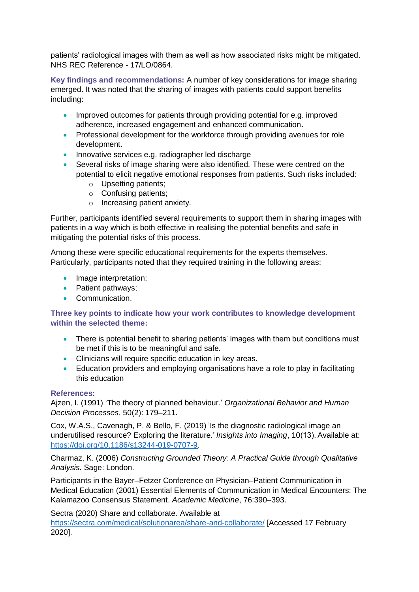patients' radiological images with them as well as how associated risks might be mitigated. NHS REC Reference - 17/LO/0864.

**Key findings and recommendations:** A number of key considerations for image sharing emerged. It was noted that the sharing of images with patients could support benefits including:

- Improved outcomes for patients through providing potential for e.g. improved adherence, increased engagement and enhanced communication.
- Professional development for the workforce through providing avenues for role development.
- Innovative services e.g. radiographer led discharge
- Several risks of image sharing were also identified. These were centred on the potential to elicit negative emotional responses from patients. Such risks included:
	- o Upsetting patients;
	- o Confusing patients;
	- o Increasing patient anxiety.

Further, participants identified several requirements to support them in sharing images with patients in a way which is both effective in realising the potential benefits and safe in mitigating the potential risks of this process.

Among these were specific educational requirements for the experts themselves. Particularly, participants noted that they required training in the following areas:

- Image interpretation;
- Patient pathways;
- Communication.

#### **Three key points to indicate how your work contributes to knowledge development within the selected theme:**

- There is potential benefit to sharing patients' images with them but conditions must be met if this is to be meaningful and safe.
- Clinicians will require specific education in key areas.
- Education providers and employing organisations have a role to play in facilitating this education

#### **References:**

Ajzen, I. (1991) 'The theory of planned behaviour.' *Organizational Behavior and Human Decision Processes*, 50(2): 179–211.

Cox, W.A.S., Cavenagh, P. & Bello, F. (2019) 'Is the diagnostic radiological image an underutilised resource? Exploring the literature.' *Insights into Imaging*, 10(13). Available at: [https://doi.org/10.1186/s13244-019-0707-9.](https://doi.org/10.1186/s13244-019-0707-9)

Charmaz, K. (2006) *Constructing Grounded Theory: A Practical Guide through Qualitative Analysis*. Sage: London.

Participants in the Bayer–Fetzer Conference on Physician–Patient Communication in Medical Education (2001) Essential Elements of Communication in Medical Encounters: The Kalamazoo Consensus Statement. *Academic Medicine*, 76:390–393.

Sectra (2020) Share and collaborate. Available at

<https://sectra.com/medical/solutionarea/share-and-collaborate/> [Accessed 17 February 2020].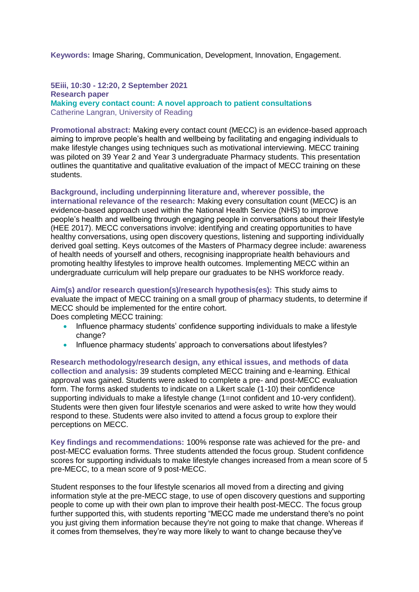**Keywords:** Image Sharing, Communication, Development, Innovation, Engagement.

#### **5Eiii, 10:30 - 12:20, 2 September 2021 Research paper Making every contact count: A novel approach to patient consultations** Catherine Langran, University of Reading

**Promotional abstract:** Making every contact count (MECC) is an evidence-based approach aiming to improve people's health and wellbeing by facilitating and engaging individuals to make lifestyle changes using techniques such as motivational interviewing. MECC training was piloted on 39 Year 2 and Year 3 undergraduate Pharmacy students. This presentation outlines the quantitative and qualitative evaluation of the impact of MECC training on these students.

#### **Background, including underpinning literature and, wherever possible, the**

**international relevance of the research:** Making every consultation count (MECC) is an evidence-based approach used within the National Health Service (NHS) to improve people's health and wellbeing through engaging people in conversations about their lifestyle (HEE 2017). MECC conversations involve: identifying and creating opportunities to have healthy conversations, using open discovery questions, listening and supporting individually derived goal setting. Keys outcomes of the Masters of Pharmacy degree include: awareness of health needs of yourself and others, recognising inappropriate health behaviours and promoting healthy lifestyles to improve health outcomes. Implementing MECC within an undergraduate curriculum will help prepare our graduates to be NHS workforce ready.

**Aim(s) and/or research question(s)/research hypothesis(es):** This study aims to evaluate the impact of MECC training on a small group of pharmacy students, to determine if MECC should be implemented for the entire cohort.

Does completing MECC training:

- Influence pharmacy students' confidence supporting individuals to make a lifestyle change?
- Influence pharmacy students' approach to conversations about lifestyles?

**Research methodology/research design, any ethical issues, and methods of data collection and analysis:** 39 students completed MECC training and e-learning. Ethical approval was gained. Students were asked to complete a pre- and post-MECC evaluation form. The forms asked students to indicate on a Likert scale (1-10) their confidence supporting individuals to make a lifestyle change (1=not confident and 10-very confident). Students were then given four lifestyle scenarios and were asked to write how they would respond to these. Students were also invited to attend a focus group to explore their perceptions on MECC.

**Key findings and recommendations:** 100% response rate was achieved for the pre- and post-MECC evaluation forms. Three students attended the focus group. Student confidence scores for supporting individuals to make lifestyle changes increased from a mean score of 5 pre-MECC, to a mean score of 9 post-MECC.

Student responses to the four lifestyle scenarios all moved from a directing and giving information style at the pre-MECC stage, to use of open discovery questions and supporting people to come up with their own plan to improve their health post-MECC. The focus group further supported this, with students reporting "MECC made me understand there's no point you just giving them information because they're not going to make that change. Whereas if it comes from themselves, they're way more likely to want to change because they've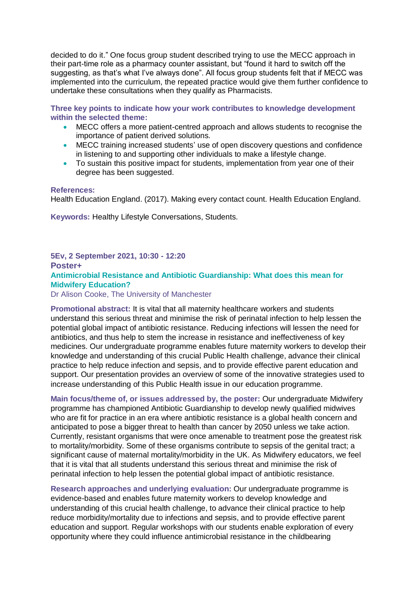decided to do it." One focus group student described trying to use the MECC approach in their part-time role as a pharmacy counter assistant, but "found it hard to switch off the suggesting, as that's what I've always done". All focus group students felt that if MECC was implemented into the curriculum, the repeated practice would give them further confidence to undertake these consultations when they qualify as Pharmacists.

**Three key points to indicate how your work contributes to knowledge development within the selected theme:**

- MECC offers a more patient-centred approach and allows students to recognise the importance of patient derived solutions.
- MECC training increased students' use of open discovery questions and confidence in listening to and supporting other individuals to make a lifestyle change.
- To sustain this positive impact for students, implementation from year one of their degree has been suggested.

#### **References:**

Health Education England. (2017). Making every contact count. Health Education England.

**Keywords:** Healthy Lifestyle Conversations, Students.

#### **5Ev, 2 September 2021, 10:30 - 12:20 Poster+ Antimicrobial Resistance and Antibiotic Guardianship: What does this mean for Midwifery Education?**

Dr Alison Cooke, The University of Manchester

**Promotional abstract:** It is vital that all maternity healthcare workers and students understand this serious threat and minimise the risk of perinatal infection to help lessen the potential global impact of antibiotic resistance. Reducing infections will lessen the need for antibiotics, and thus help to stem the increase in resistance and ineffectiveness of key medicines. Our undergraduate programme enables future maternity workers to develop their knowledge and understanding of this crucial Public Health challenge, advance their clinical practice to help reduce infection and sepsis, and to provide effective parent education and support. Our presentation provides an overview of some of the innovative strategies used to increase understanding of this Public Health issue in our education programme.

**Main focus/theme of, or issues addressed by, the poster:** Our undergraduate Midwifery programme has championed Antibiotic Guardianship to develop newly qualified midwives who are fit for practice in an era where antibiotic resistance is a global health concern and anticipated to pose a bigger threat to health than cancer by 2050 unless we take action. Currently, resistant organisms that were once amenable to treatment pose the greatest risk to mortality/morbidity. Some of these organisms contribute to sepsis of the genital tract; a significant cause of maternal mortality/morbidity in the UK. As Midwifery educators, we feel that it is vital that all students understand this serious threat and minimise the risk of perinatal infection to help lessen the potential global impact of antibiotic resistance.

**Research approaches and underlying evaluation:** Our undergraduate programme is evidence-based and enables future maternity workers to develop knowledge and understanding of this crucial health challenge, to advance their clinical practice to help reduce morbidity/mortality due to infections and sepsis, and to provide effective parent education and support. Regular workshops with our students enable exploration of every opportunity where they could influence antimicrobial resistance in the childbearing